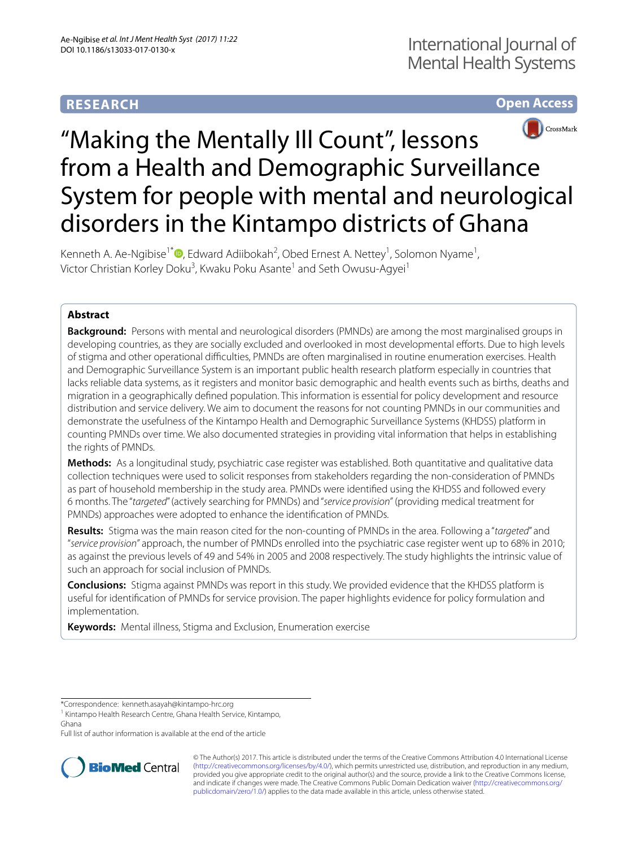# **RESEARCH**





# "Making the Mentally Ill Count", lessons from a Health and Demographic Surveillance System for people with mental and neurological disorders in the Kintampo districts of Ghana

Kenneth A. Ae-Ngibise<sup>1\*</sup><sup>®</sup>[,](http://orcid.org/0000-0001-5638-4814) Edward Adiibokah<sup>2</sup>, Obed Ernest A. Nettey<sup>1</sup>, Solomon Nyame<sup>1</sup>, Victor Christian Korley Doku<sup>3</sup>, Kwaku Poku Asante<sup>1</sup> and Seth Owusu-Agyei<sup>1</sup>

# **Abstract**

**Background:** Persons with mental and neurological disorders (PMNDs) are among the most marginalised groups in developing countries, as they are socially excluded and overlooked in most developmental efforts. Due to high levels of stigma and other operational difficulties, PMNDs are often marginalised in routine enumeration exercises. Health and Demographic Surveillance System is an important public health research platform especially in countries that lacks reliable data systems, as it registers and monitor basic demographic and health events such as births, deaths and migration in a geographically defined population. This information is essential for policy development and resource distribution and service delivery. We aim to document the reasons for not counting PMNDs in our communities and demonstrate the usefulness of the Kintampo Health and Demographic Surveillance Systems (KHDSS) platform in counting PMNDs over time. We also documented strategies in providing vital information that helps in establishing the rights of PMNDs.

**Methods:** As a longitudinal study, psychiatric case register was established. Both quantitative and qualitative data collection techniques were used to solicit responses from stakeholders regarding the non-consideration of PMNDs as part of household membership in the study area. PMNDs were identified using the KHDSS and followed every 6 months. The "*targeted*" (actively searching for PMNDs) and "*service provision"* (providing medical treatment for PMNDs) approaches were adopted to enhance the identification of PMNDs.

**Results:** Stigma was the main reason cited for the non-counting of PMNDs in the area. Following a "*targeted*" and "*service provision"* approach, the number of PMNDs enrolled into the psychiatric case register went up to 68% in 2010; as against the previous levels of 49 and 54% in 2005 and 2008 respectively. The study highlights the intrinsic value of such an approach for social inclusion of PMNDs.

**Conclusions:** Stigma against PMNDs was report in this study. We provided evidence that the KHDSS platform is useful for identification of PMNDs for service provision. The paper highlights evidence for policy formulation and implementation.

**Keywords:** Mental illness, Stigma and Exclusion, Enumeration exercise

\*Correspondence: kenneth.asayah@kintampo‑hrc.org

<sup>1</sup> Kintampo Health Research Centre, Ghana Health Service, Kintampo, Ghana

Full list of author information is available at the end of the article



© The Author(s) 2017. This article is distributed under the terms of the Creative Commons Attribution 4.0 International License [\(http://creativecommons.org/licenses/by/4.0/\)](http://creativecommons.org/licenses/by/4.0/), which permits unrestricted use, distribution, and reproduction in any medium, provided you give appropriate credit to the original author(s) and the source, provide a link to the Creative Commons license, and indicate if changes were made. The Creative Commons Public Domain Dedication waiver ([http://creativecommons.org/](http://creativecommons.org/publicdomain/zero/1.0/) [publicdomain/zero/1.0/](http://creativecommons.org/publicdomain/zero/1.0/)) applies to the data made available in this article, unless otherwise stated.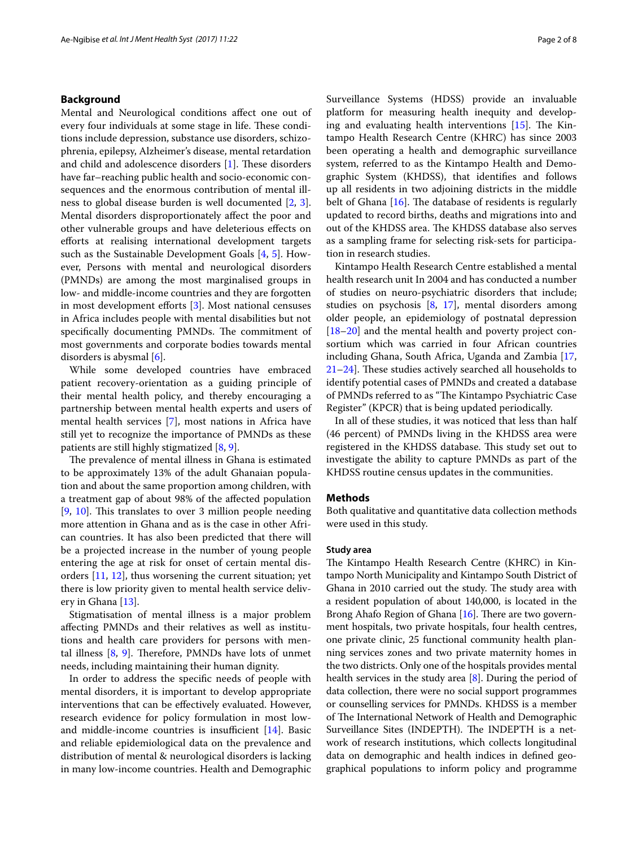## **Background**

Mental and Neurological conditions affect one out of every four individuals at some stage in life. These conditions include depression, substance use disorders, schizophrenia, epilepsy, Alzheimer's disease, mental retardation and child and adolescence disorders [\[1](#page-7-0)]. These disorders have far–reaching public health and socio-economic consequences and the enormous contribution of mental illness to global disease burden is well documented [[2,](#page-7-1) [3](#page-7-2)]. Mental disorders disproportionately affect the poor and other vulnerable groups and have deleterious effects on efforts at realising international development targets such as the Sustainable Development Goals [[4,](#page-7-3) [5\]](#page-7-4). However, Persons with mental and neurological disorders (PMNDs) are among the most marginalised groups in low- and middle-income countries and they are forgotten in most development efforts [\[3](#page-7-2)]. Most national censuses in Africa includes people with mental disabilities but not specifically documenting PMNDs. The commitment of most governments and corporate bodies towards mental disorders is abysmal [\[6](#page-7-5)].

While some developed countries have embraced patient recovery-orientation as a guiding principle of their mental health policy, and thereby encouraging a partnership between mental health experts and users of mental health services [[7\]](#page-7-6), most nations in Africa have still yet to recognize the importance of PMNDs as these patients are still highly stigmatized [[8,](#page-7-7) [9](#page-7-8)].

The prevalence of mental illness in Ghana is estimated to be approximately 13% of the adult Ghanaian population and about the same proportion among children, with a treatment gap of about 98% of the affected population [[9,](#page-7-8) [10](#page-7-9)]. This translates to over 3 million people needing more attention in Ghana and as is the case in other African countries. It has also been predicted that there will be a projected increase in the number of young people entering the age at risk for onset of certain mental disorders [[11,](#page-7-10) [12\]](#page-7-11), thus worsening the current situation; yet there is low priority given to mental health service delivery in Ghana [[13\]](#page-7-12).

Stigmatisation of mental illness is a major problem affecting PMNDs and their relatives as well as institutions and health care providers for persons with mental illness [\[8](#page-7-7), [9\]](#page-7-8). Therefore, PMNDs have lots of unmet needs, including maintaining their human dignity.

In order to address the specific needs of people with mental disorders, it is important to develop appropriate interventions that can be effectively evaluated. However, research evidence for policy formulation in most lowand middle-income countries is insufficient [\[14](#page-7-13)]. Basic and reliable epidemiological data on the prevalence and distribution of mental & neurological disorders is lacking in many low-income countries. Health and Demographic Surveillance Systems (HDSS) provide an invaluable platform for measuring health inequity and developing and evaluating health interventions [[15](#page-7-14)]. The Kintampo Health Research Centre (KHRC) has since 2003 been operating a health and demographic surveillance system, referred to as the Kintampo Health and Demographic System (KHDSS), that identifies and follows up all residents in two adjoining districts in the middle belt of Ghana [\[16](#page-7-15)]. The database of residents is regularly updated to record births, deaths and migrations into and out of the KHDSS area. The KHDSS database also serves as a sampling frame for selecting risk-sets for participation in research studies.

Kintampo Health Research Centre established a mental health research unit In 2004 and has conducted a number of studies on neuro-psychiatric disorders that include; studies on psychosis [\[8](#page-7-7), [17](#page-7-16)], mental disorders among older people, an epidemiology of postnatal depression [[18–](#page-7-17)[20\]](#page-7-18) and the mental health and poverty project consortium which was carried in four African countries including Ghana, South Africa, Uganda and Zambia [[17](#page-7-16), [21](#page-7-19)[–24](#page-7-20)]. These studies actively searched all households to identify potential cases of PMNDs and created a database of PMNDs referred to as "The Kintampo Psychiatric Case Register" (KPCR) that is being updated periodically.

In all of these studies, it was noticed that less than half (46 percent) of PMNDs living in the KHDSS area were registered in the KHDSS database. This study set out to investigate the ability to capture PMNDs as part of the KHDSS routine census updates in the communities.

## **Methods**

Both qualitative and quantitative data collection methods were used in this study.

## **Study area**

The Kintampo Health Research Centre (KHRC) in Kintampo North Municipality and Kintampo South District of Ghana in 2010 carried out the study. The study area with a resident population of about 140,000, is located in the Brong Ahafo Region of Ghana [[16](#page-7-15)]. There are two government hospitals, two private hospitals, four health centres, one private clinic, 25 functional community health planning services zones and two private maternity homes in the two districts. Only one of the hospitals provides mental health services in the study area [\[8\]](#page-7-7). During the period of data collection, there were no social support programmes or counselling services for PMNDs. KHDSS is a member of The International Network of Health and Demographic Surveillance Sites (INDEPTH). The INDEPTH is a network of research institutions, which collects longitudinal data on demographic and health indices in defined geographical populations to inform policy and programme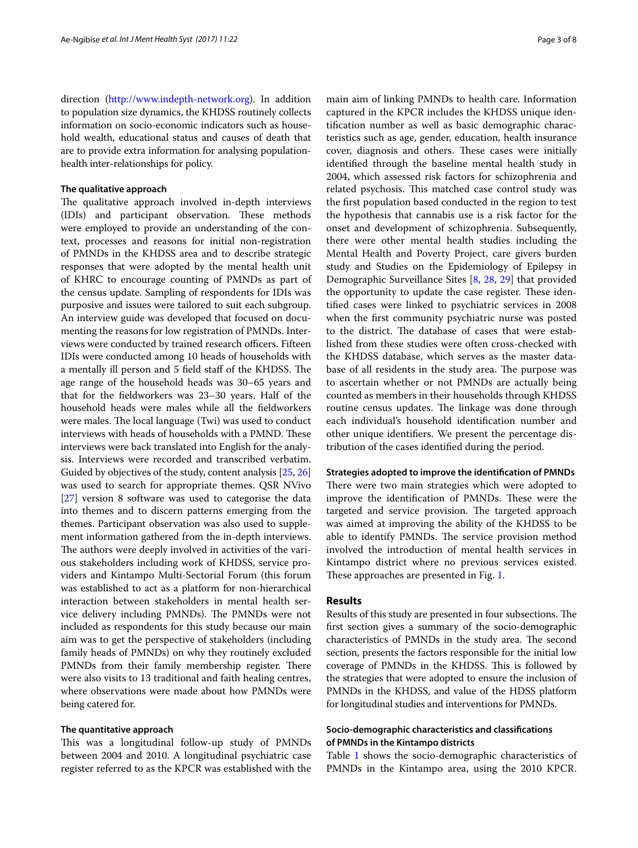direction [\(http://www.indepth-network.org\)](http://www.indepth-network.org). In addition to population size dynamics, the KHDSS routinely collects information on socio-economic indicators such as household wealth, educational status and causes of death that are to provide extra information for analysing populationhealth inter-relationships for policy.

## **The qualitative approach**

The qualitative approach involved in-depth interviews (IDIs) and participant observation. These methods were employed to provide an understanding of the context, processes and reasons for initial non-registration of PMNDs in the KHDSS area and to describe strategic responses that were adopted by the mental health unit of KHRC to encourage counting of PMNDs as part of the census update. Sampling of respondents for IDIs was purposive and issues were tailored to suit each subgroup. An interview guide was developed that focused on documenting the reasons for low registration of PMNDs. Interviews were conducted by trained research officers. Fifteen IDIs were conducted among 10 heads of households with a mentally ill person and 5 field staff of the KHDSS. The age range of the household heads was 30–65 years and that for the fieldworkers was 23–30 years. Half of the household heads were males while all the fieldworkers were males. The local language (Twi) was used to conduct interviews with heads of households with a PMND. These interviews were back translated into English for the analysis. Interviews were recorded and transcribed verbatim. Guided by objectives of the study, content analysis [[25](#page-7-21), [26](#page-7-22)] was used to search for appropriate themes. QSR NVivo [[27\]](#page-7-23) version 8 software was used to categorise the data into themes and to discern patterns emerging from the themes. Participant observation was also used to supplement information gathered from the in-depth interviews. The authors were deeply involved in activities of the various stakeholders including work of KHDSS, service providers and Kintampo Multi-Sectorial Forum (this forum was established to act as a platform for non-hierarchical interaction between stakeholders in mental health service delivery including PMNDs). The PMNDs were not included as respondents for this study because our main aim was to get the perspective of stakeholders (including family heads of PMNDs) on why they routinely excluded PMNDs from their family membership register. There were also visits to 13 traditional and faith healing centres, where observations were made about how PMNDs were being catered for.

## **The quantitative approach**

This was a longitudinal follow-up study of PMNDs between 2004 and 2010. A longitudinal psychiatric case register referred to as the KPCR was established with the main aim of linking PMNDs to health care. Information captured in the KPCR includes the KHDSS unique identification number as well as basic demographic characteristics such as age, gender, education, health insurance cover, diagnosis and others. These cases were initially identified through the baseline mental health study in 2004, which assessed risk factors for schizophrenia and related psychosis. This matched case control study was the first population based conducted in the region to test the hypothesis that cannabis use is a risk factor for the onset and development of schizophrenia. Subsequently, there were other mental health studies including the Mental Health and Poverty Project, care givers burden study and Studies on the Epidemiology of Epilepsy in Demographic Surveillance Sites [[8,](#page-7-7) [28,](#page-7-24) [29\]](#page-7-25) that provided the opportunity to update the case register. These identified cases were linked to psychiatric services in 2008 when the first community psychiatric nurse was posted to the district. The database of cases that were established from these studies were often cross-checked with the KHDSS database, which serves as the master database of all residents in the study area. The purpose was to ascertain whether or not PMNDs are actually being counted as members in their households through KHDSS routine census updates. The linkage was done through each individual's household identification number and other unique identifiers. We present the percentage distribution of the cases identified during the period.

## **Strategies adopted to improve the identification of PMNDs**

There were two main strategies which were adopted to improve the identification of PMNDs. These were the targeted and service provision. The targeted approach was aimed at improving the ability of the KHDSS to be able to identify PMNDs. The service provision method involved the introduction of mental health services in Kintampo district where no previous services existed. These approaches are presented in Fig. [1](#page-3-0).

# **Results**

Results of this study are presented in four subsections. The first section gives a summary of the socio-demographic characteristics of PMNDs in the study area. The second section, presents the factors responsible for the initial low coverage of PMNDs in the KHDSS. This is followed by the strategies that were adopted to ensure the inclusion of PMNDs in the KHDSS, and value of the HDSS platform for longitudinal studies and interventions for PMNDs.

# **Socio‑demographic characteristics and classifications of PMNDs in the Kintampo districts**

Table [1](#page-4-0) shows the socio-demographic characteristics of PMNDs in the Kintampo area, using the 2010 KPCR.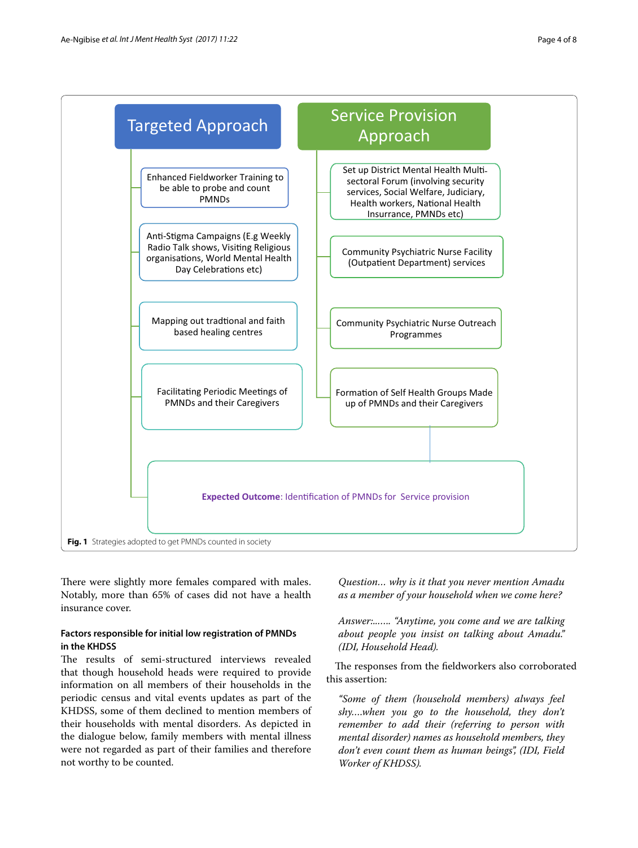

<span id="page-3-0"></span>There were slightly more females compared with males. Notably, more than 65% of cases did not have a health insurance cover.

# **Factors responsible for initial low registration of PMNDs in the KHDSS**

The results of semi-structured interviews revealed that though household heads were required to provide information on all members of their households in the periodic census and vital events updates as part of the KHDSS, some of them declined to mention members of their households with mental disorders. As depicted in the dialogue below, family members with mental illness were not regarded as part of their families and therefore not worthy to be counted.

*Question… why is it that you never mention Amadu as a member of your household when we come here?*

*Answer:..….. "Anytime, you come and we are talking about people you insist on talking about Amadu." (IDI, Household Head).*

The responses from the fieldworkers also corroborated this assertion:

*"Some of them (household members) always feel shy….when you go to the household, they don't remember to add their (referring to person with mental disorder) names as household members, they don't even count them as human beings", (IDI, Field Worker of KHDSS).*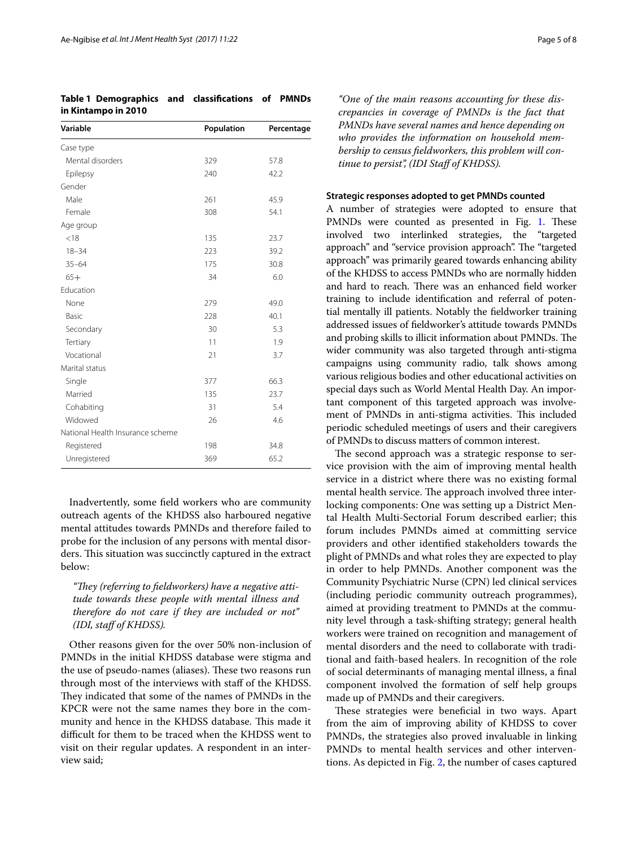<span id="page-4-0"></span>

| Table 1 Demographics and classifications of PMNDs |  |  |
|---------------------------------------------------|--|--|
| in Kintampo in 2010                               |  |  |

| Variable                         | Population | Percentage |  |
|----------------------------------|------------|------------|--|
| Case type                        |            |            |  |
| Mental disorders                 | 329        | 57.8       |  |
| Epilepsy                         | 240        | 42.2       |  |
| Gender                           |            |            |  |
| Male                             | 261        | 45.9       |  |
| Female                           | 308        | 54.1       |  |
| Age group                        |            |            |  |
| < 18                             | 135        | 23.7       |  |
| $18 - 34$                        | 223        | 39.2       |  |
| $35 - 64$                        | 175        | 30.8       |  |
| $65+$                            | 34         | 6.0        |  |
| Education                        |            |            |  |
| None                             | 279        | 49.0       |  |
| Basic                            | 228        | 40.1       |  |
| Secondary                        | 30         | 5.3        |  |
| Tertiary                         | 11         | 1.9        |  |
| Vocational                       | 21         | 3.7        |  |
| Marital status                   |            |            |  |
| Single                           | 377        | 66.3       |  |
| Married                          | 135        | 23.7       |  |
| Cohabiting                       | 31         | 5.4        |  |
| Widowed                          | 26         | 4.6        |  |
| National Health Insurance scheme |            |            |  |
| Registered                       | 198        | 34.8       |  |
| Unregistered                     | 369        | 65.2       |  |

Inadvertently, some field workers who are community outreach agents of the KHDSS also harboured negative mental attitudes towards PMNDs and therefore failed to probe for the inclusion of any persons with mental disorders. This situation was succinctly captured in the extract below:

*"They (referring to fieldworkers) have a negative attitude towards these people with mental illness and therefore do not care if they are included or not" (IDI, staff of KHDSS).*

Other reasons given for the over 50% non-inclusion of PMNDs in the initial KHDSS database were stigma and the use of pseudo-names (aliases). These two reasons run through most of the interviews with staff of the KHDSS. They indicated that some of the names of PMNDs in the KPCR were not the same names they bore in the community and hence in the KHDSS database. This made it difficult for them to be traced when the KHDSS went to visit on their regular updates. A respondent in an interview said;

*"One of the main reasons accounting for these discrepancies in coverage of PMNDs is the fact that PMNDs have several names and hence depending on who provides the information on household membership to census fieldworkers, this problem will continue to persist", (IDI Staff of KHDSS).*

#### **Strategic responses adopted to get PMNDs counted**

A number of strategies were adopted to ensure that PMNDs were counted as presented in Fig. [1.](#page-3-0) These involved two interlinked strategies, the "targeted approach" and "service provision approach". The "targeted approach" was primarily geared towards enhancing ability of the KHDSS to access PMNDs who are normally hidden and hard to reach. There was an enhanced field worker training to include identification and referral of potential mentally ill patients. Notably the fieldworker training addressed issues of fieldworker's attitude towards PMNDs and probing skills to illicit information about PMNDs. The wider community was also targeted through anti-stigma campaigns using community radio, talk shows among various religious bodies and other educational activities on special days such as World Mental Health Day. An important component of this targeted approach was involvement of PMNDs in anti-stigma activities. This included periodic scheduled meetings of users and their caregivers of PMNDs to discuss matters of common interest.

The second approach was a strategic response to service provision with the aim of improving mental health service in a district where there was no existing formal mental health service. The approach involved three interlocking components: One was setting up a District Mental Health Multi-Sectorial Forum described earlier; this forum includes PMNDs aimed at committing service providers and other identified stakeholders towards the plight of PMNDs and what roles they are expected to play in order to help PMNDs. Another component was the Community Psychiatric Nurse (CPN) led clinical services (including periodic community outreach programmes), aimed at providing treatment to PMNDs at the community level through a task-shifting strategy; general health workers were trained on recognition and management of mental disorders and the need to collaborate with traditional and faith-based healers. In recognition of the role of social determinants of managing mental illness, a final component involved the formation of self help groups made up of PMNDs and their caregivers.

These strategies were beneficial in two ways. Apart from the aim of improving ability of KHDSS to cover PMNDs, the strategies also proved invaluable in linking PMNDs to mental health services and other interventions. As depicted in Fig. [2](#page-5-0), the number of cases captured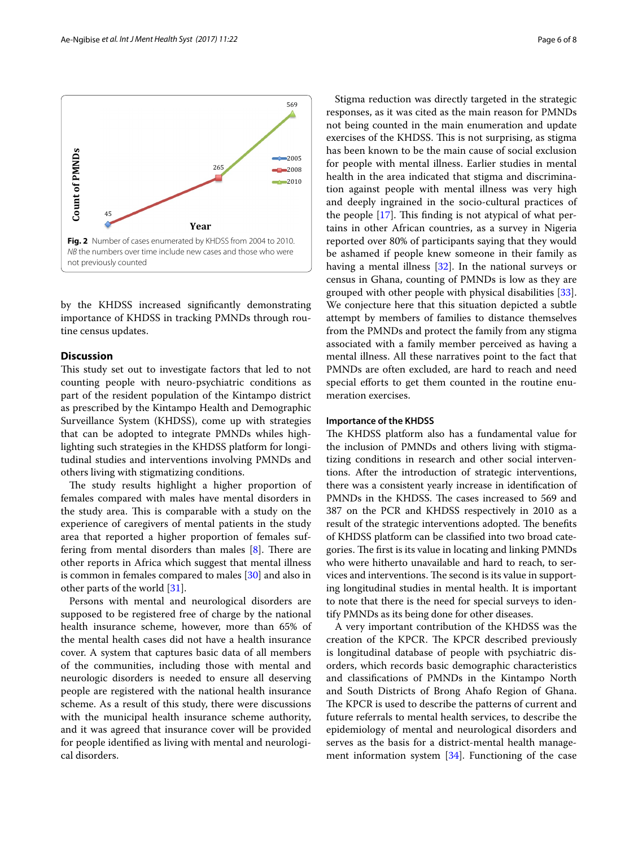

<span id="page-5-0"></span>by the KHDSS increased significantly demonstrating importance of KHDSS in tracking PMNDs through routine census updates.

## **Discussion**

This study set out to investigate factors that led to not counting people with neuro-psychiatric conditions as part of the resident population of the Kintampo district as prescribed by the Kintampo Health and Demographic Surveillance System (KHDSS), come up with strategies that can be adopted to integrate PMNDs whiles highlighting such strategies in the KHDSS platform for longitudinal studies and interventions involving PMNDs and others living with stigmatizing conditions.

The study results highlight a higher proportion of females compared with males have mental disorders in the study area. This is comparable with a study on the experience of caregivers of mental patients in the study area that reported a higher proportion of females suffering from mental disorders than males [\[8](#page-7-7)]. There are other reports in Africa which suggest that mental illness is common in females compared to males [\[30](#page-7-26)] and also in other parts of the world [[31\]](#page-7-27).

Persons with mental and neurological disorders are supposed to be registered free of charge by the national health insurance scheme, however, more than 65% of the mental health cases did not have a health insurance cover. A system that captures basic data of all members of the communities, including those with mental and neurologic disorders is needed to ensure all deserving people are registered with the national health insurance scheme. As a result of this study, there were discussions with the municipal health insurance scheme authority, and it was agreed that insurance cover will be provided for people identified as living with mental and neurological disorders.

Stigma reduction was directly targeted in the strategic responses, as it was cited as the main reason for PMNDs not being counted in the main enumeration and update exercises of the KHDSS. This is not surprising, as stigma has been known to be the main cause of social exclusion for people with mental illness. Earlier studies in mental health in the area indicated that stigma and discrimination against people with mental illness was very high and deeply ingrained in the socio-cultural practices of the people [[17\]](#page-7-16). This finding is not atypical of what pertains in other African countries, as a survey in Nigeria reported over 80% of participants saying that they would be ashamed if people knew someone in their family as having a mental illness [[32\]](#page-7-28). In the national surveys or census in Ghana, counting of PMNDs is low as they are grouped with other people with physical disabilities [\[33](#page-7-29)]. We conjecture here that this situation depicted a subtle attempt by members of families to distance themselves from the PMNDs and protect the family from any stigma associated with a family member perceived as having a mental illness. All these narratives point to the fact that PMNDs are often excluded, are hard to reach and need special efforts to get them counted in the routine enumeration exercises.

## **Importance of the KHDSS**

The KHDSS platform also has a fundamental value for the inclusion of PMNDs and others living with stigmatizing conditions in research and other social interventions. After the introduction of strategic interventions, there was a consistent yearly increase in identification of PMNDs in the KHDSS. The cases increased to 569 and 387 on the PCR and KHDSS respectively in 2010 as a result of the strategic interventions adopted. The benefits of KHDSS platform can be classified into two broad categories. The first is its value in locating and linking PMNDs who were hitherto unavailable and hard to reach, to services and interventions. The second is its value in supporting longitudinal studies in mental health. It is important to note that there is the need for special surveys to identify PMNDs as its being done for other diseases.

A very important contribution of the KHDSS was the creation of the KPCR. The KPCR described previously is longitudinal database of people with psychiatric disorders, which records basic demographic characteristics and classifications of PMNDs in the Kintampo North and South Districts of Brong Ahafo Region of Ghana. The KPCR is used to describe the patterns of current and future referrals to mental health services, to describe the epidemiology of mental and neurological disorders and serves as the basis for a district-mental health management information system [[34\]](#page-7-30). Functioning of the case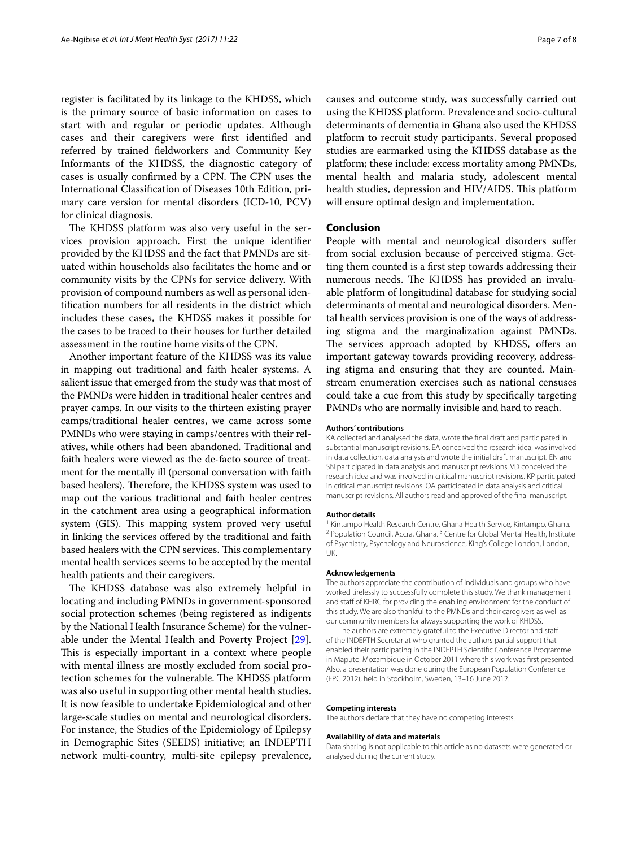register is facilitated by its linkage to the KHDSS, which is the primary source of basic information on cases to start with and regular or periodic updates. Although cases and their caregivers were first identified and referred by trained fieldworkers and Community Key Informants of the KHDSS, the diagnostic category of cases is usually confirmed by a CPN. The CPN uses the International Classification of Diseases 10th Edition, primary care version for mental disorders (ICD-10, PCV) for clinical diagnosis.

The KHDSS platform was also very useful in the services provision approach. First the unique identifier provided by the KHDSS and the fact that PMNDs are situated within households also facilitates the home and or community visits by the CPNs for service delivery. With provision of compound numbers as well as personal identification numbers for all residents in the district which includes these cases, the KHDSS makes it possible for the cases to be traced to their houses for further detailed assessment in the routine home visits of the CPN.

Another important feature of the KHDSS was its value in mapping out traditional and faith healer systems. A salient issue that emerged from the study was that most of the PMNDs were hidden in traditional healer centres and prayer camps. In our visits to the thirteen existing prayer camps/traditional healer centres, we came across some PMNDs who were staying in camps/centres with their relatives, while others had been abandoned. Traditional and faith healers were viewed as the de-facto source of treatment for the mentally ill (personal conversation with faith based healers). Therefore, the KHDSS system was used to map out the various traditional and faith healer centres in the catchment area using a geographical information system (GIS). This mapping system proved very useful in linking the services offered by the traditional and faith based healers with the CPN services. This complementary mental health services seems to be accepted by the mental health patients and their caregivers.

The KHDSS database was also extremely helpful in locating and including PMNDs in government-sponsored social protection schemes (being registered as indigents by the National Health Insurance Scheme) for the vulnerable under the Mental Health and Poverty Project [\[29](#page-7-25)]. This is especially important in a context where people with mental illness are mostly excluded from social protection schemes for the vulnerable. The KHDSS platform was also useful in supporting other mental health studies. It is now feasible to undertake Epidemiological and other large-scale studies on mental and neurological disorders. For instance, the Studies of the Epidemiology of Epilepsy in Demographic Sites (SEEDS) initiative; an INDEPTH network multi-country, multi-site epilepsy prevalence,

causes and outcome study, was successfully carried out using the KHDSS platform. Prevalence and socio-cultural determinants of dementia in Ghana also used the KHDSS platform to recruit study participants. Several proposed studies are earmarked using the KHDSS database as the platform; these include: excess mortality among PMNDs, mental health and malaria study, adolescent mental health studies, depression and HIV/AIDS. This platform will ensure optimal design and implementation.

#### **Conclusion**

People with mental and neurological disorders suffer from social exclusion because of perceived stigma. Getting them counted is a first step towards addressing their numerous needs. The KHDSS has provided an invaluable platform of longitudinal database for studying social determinants of mental and neurological disorders. Mental health services provision is one of the ways of addressing stigma and the marginalization against PMNDs. The services approach adopted by KHDSS, offers an important gateway towards providing recovery, addressing stigma and ensuring that they are counted. Mainstream enumeration exercises such as national censuses could take a cue from this study by specifically targeting PMNDs who are normally invisible and hard to reach.

#### **Authors' contributions**

KA collected and analysed the data, wrote the final draft and participated in substantial manuscript revisions. EA conceived the research idea, was involved in data collection, data analysis and wrote the initial draft manuscript. EN and SN participated in data analysis and manuscript revisions. VD conceived the research idea and was involved in critical manuscript revisions. KP participated in critical manuscript revisions. OA participated in data analysis and critical manuscript revisions. All authors read and approved of the final manuscript.

#### **Author details**

<sup>1</sup> Kintampo Health Research Centre, Ghana Health Service, Kintampo, Ghana.  $2$  Population Council, Accra, Ghana.  $3$  Centre for Global Mental Health, Institute of Psychiatry, Psychology and Neuroscience, King's College London, London, UK.

#### **Acknowledgements**

The authors appreciate the contribution of individuals and groups who have worked tirelessly to successfully complete this study. We thank management and staff of KHRC for providing the enabling environment for the conduct of this study. We are also thankful to the PMNDs and their caregivers as well as our community members for always supporting the work of KHDSS.

The authors are extremely grateful to the Executive Director and staff of the INDEPTH Secretariat who granted the authors partial support that enabled their participating in the INDEPTH Scientific Conference Programme in Maputo, Mozambique in October 2011 where this work was first presented. Also, a presentation was done during the European Population Conference (EPC 2012), held in Stockholm, Sweden, 13–16 June 2012.

#### **Competing interests**

The authors declare that they have no competing interests.

#### **Availability of data and materials**

Data sharing is not applicable to this article as no datasets were generated or analysed during the current study.